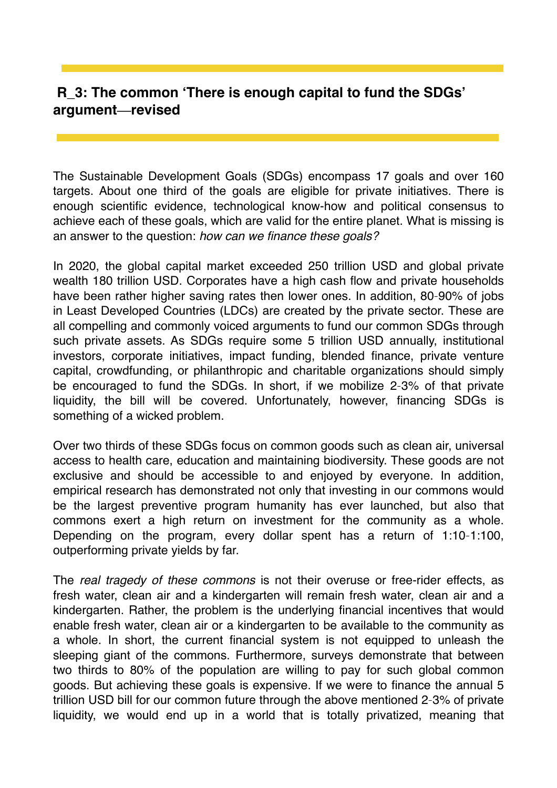## **R\_3: The common 'There is enough capital to fund the SDGs' argument—revised**

The Sustainable Development Goals (SDGs) encompass 17 goals and over 160 targets. About one third of the goals are eligible for private initiatives. There is enough scientific evidence, technological know-how and political consensus to achieve each of these goals, which are valid for the entire planet. What is missing is an answer to the question: *how can we finance these goals?*

In 2020, the global capital market exceeded 250 trillion USD and global private wealth 180 trillion USD. Corporates have a high cash flow and private households have been rather higher saving rates then lower ones. In addition, 80–90% of jobs in Least Developed Countries (LDCs) are created by the private sector. These are all compelling and commonly voiced arguments to fund our common SDGs through such private assets. As SDGs require some 5 trillion USD annually, institutional investors, corporate initiatives, impact funding, blended finance, private venture capital, crowdfunding, or philanthropic and charitable organizations should simply be encouraged to fund the SDGs. In short, if we mobilize 2–3% of that private liquidity, the bill will be covered. Unfortunately, however, financing SDGs is something of a wicked problem.

Over two thirds of these SDGs focus on common goods such as clean air, universal access to health care, education and maintaining biodiversity. These goods are not exclusive and should be accessible to and enjoyed by everyone. In addition, empirical research has demonstrated not only that investing in our commons would be the largest preventive program humanity has ever launched, but also that commons exert a high return on investment for the community as a whole. Depending on the program, every dollar spent has a return of 1:10–1:100, outperforming private yields by far.

The *real tragedy of these commons* is not their overuse or free-rider effects, as fresh water, clean air and a kindergarten will remain fresh water, clean air and a kindergarten. Rather, the problem is the underlying financial incentives that would enable fresh water, clean air or a kindergarten to be available to the community as a whole. In short, the current financial system is not equipped to unleash the sleeping giant of the commons. Furthermore, surveys demonstrate that between two thirds to 80% of the population are willing to pay for such global common goods. But achieving these goals is expensive. If we were to finance the annual 5 trillion USD bill for our common future through the above mentioned 2–3% of private liquidity, we would end up in a world that is totally privatized, meaning that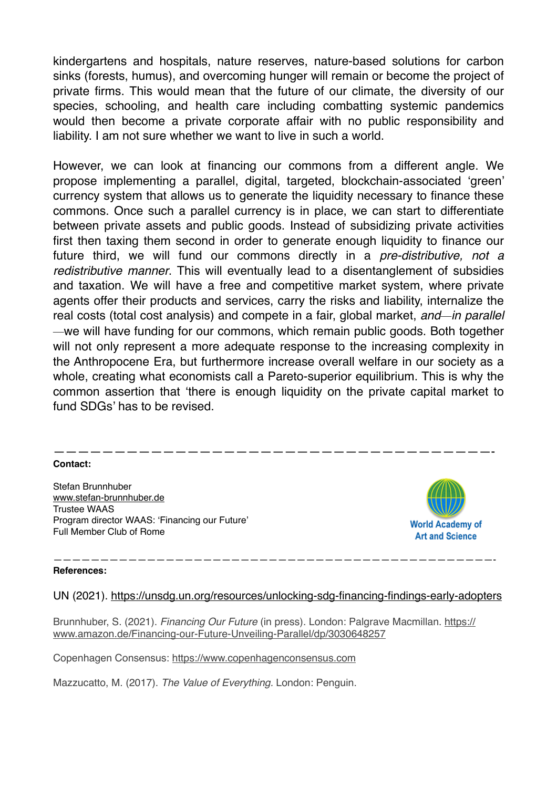kindergartens and hospitals, nature reserves, nature-based solutions for carbon sinks (forests, humus), and overcoming hunger will remain or become the project of private firms. This would mean that the future of our climate, the diversity of our species, schooling, and health care including combatting systemic pandemics would then become a private corporate affair with no public responsibility and liability. I am not sure whether we want to live in such a world.

However, we can look at financing our commons from a different angle. We propose implementing a parallel, digital, targeted, blockchain-associated 'green' currency system that allows us to generate the liquidity necessary to finance these commons. Once such a parallel currency is in place, we can start to differentiate between private assets and public goods. Instead of subsidizing private activities first then taxing them second in order to generate enough liquidity to finance our future third, we will fund our commons directly in a *pre-distributive, not a redistributive manner*. This will eventually lead to a disentanglement of subsidies and taxation. We will have a free and competitive market system, where private agents offer their products and services, carry the risks and liability, internalize the real costs (total cost analysis) and compete in a fair, global market, *and—in parallel —*we will have funding for our commons, which remain public goods. Both together will not only represent a more adequate response to the increasing complexity in the Anthropocene Era, but furthermore increase overall welfare in our society as a whole, creating what economists call a Pareto-superior equilibrium. This is why the common assertion that 'there is enough liquidity on the private capital market to fund SDGs' has to be revised.

## ————————————————————————————————————- **Contact:**

Stefan Brunnhuber [www.stefan-brunnhuber.de](http://www.stefan-brunnhuber.de) Trustee WAAS Program director WAAS: 'Financing our Future' Full Member Club of Rome



## **References:**

UN (2021). <https://unsdg.un.org/resources/unlocking-sdg-financing-findings-early-adopters>

———————————————————————————————————————————————-

Brunnhuber, S. (2021). *Financing Our Future* (in press). London: Palgrave Macmillan. [https://](https://www.amazon.de/Financing-our-Future-Unveiling-Parallel/dp/3030648257) [www.amazon.de/Financing-our-Future-Unveiling-Parallel/dp/3030648257](https://www.amazon.de/Financing-our-Future-Unveiling-Parallel/dp/3030648257)

Copenhagen Consensus: <https://www.copenhagenconsensus.com>

Mazzucatto, M. (2017). *The Value of Everything.* London: Penguin.